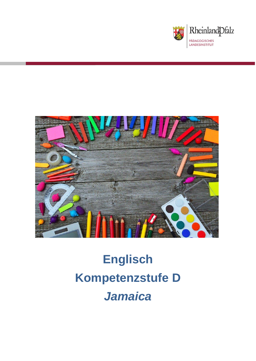



# **Englisch Kompetenzstufe D** *Jamaica*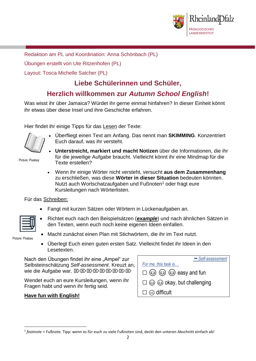

Redaktion am PL und Koordination: Anna Schönbach (PL)

Übungen erstellt von Ute Ritzenhofen (PL)

Layout: Tosca Michelle Satcher (PL)

## **Liebe Schülerinnen und Schüler,**

### **Herzlich willkommen zur** *Autumn School English***!**

Was wisst ihr über Jamaica? Würdet ihr gerne einmal hinfahren? In dieser Einheit könnt ihr etwas über diese Insel und ihre Geschichte erfahren.

Hier findet ihr einige Tipps für das Lesen der Texte:

• Überfliegt einen Text am Anfang. Das nennt man **SKIMMING**. Konzentriert Euch darauf, was ihr versteht.

Picture: Pixabay

- **Unterstreicht, markiert und macht Notizen** über die Informationen, die ihr für die jeweilige Aufgabe braucht. Vielleicht könnt ihr eine Mindmap für die Texte erstellen?
- Wenn ihr einige Wörter nicht versteht, versucht **aus dem Zusammenhang** zu erschließen, was diese **Wörter in dieser Situation** bedeuten könnten. Nutzt auch Wortschatzaufgaben und Fußnoten<sup>1</sup> oder fragt eure Kursleitungen nach Wörterlisten.

Für das Schreiben:

• Fangt mit kurzen Sätzen oder Wörtern in Lückenaufgaben an.



- Richtet euch nach den Beispielsätzen (*example*) und nach ähnlichen Sätzen in den Texten, wenn euch noch keine eigenen Ideen einfallen.
- Picture: Pixabay

**.** 

- Macht zunächst einen Plan mit Stichwörtern, die ihr im Text nutzt.
- Überlegt Euch einen guten ersten Satz. Vielleicht findet ihr Ideen in den Lesetexten.

Nach den Übungen findet ihr eine "Ampel" zur Selbsteinschätzung *Self-assessment*. Kreuzt an, wie die Aufgabe war. E E E E E E E E E E E

Wendet euch an eure Kursleitungen, wenn ihr Fragen habt und wenn ihr fertig seid.

#### **Have fun with English!**

| $ightharpoonup$ Self-assessment                        |
|--------------------------------------------------------|
| For me, this task is                                   |
| $\square$ $\odot$ $\odot$ $\odot$ $\odot$ easy and fun |
| $\square$ $\odot$ $\odot$ okay, but challenging        |
| $\square \otimes$ difficult                            |

<sup>1</sup> *footnote* = Fußnote. Tipp: wenn es für euch zu viele Fußnoten sind, deckt den unteren Abschnitt einfach ab!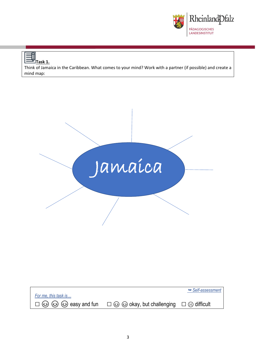

Think of Jamaica in the Caribbean. What comes to your mind? Work with a partner (if possible) and create a mind map:



|                      |                                                                                                                   | $ightharpoonup$ Self-assessment |
|----------------------|-------------------------------------------------------------------------------------------------------------------|---------------------------------|
| For me, this task is |                                                                                                                   |                                 |
|                      | $\Box$ $\odot$ $\odot$ $\odot$ easy and fun $\Box$ $\odot$ $\odot$ okay, but challenging $\Box$ $\odot$ difficult |                                 |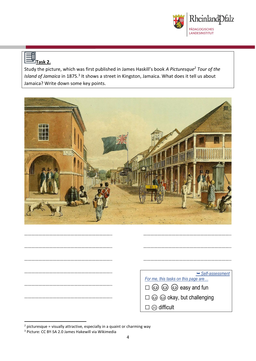

#### ╗ **Task 2.**

Study the picture, which was first published in James Haskill's book *A Picturesque<sup>2</sup> Tour of the*  Island of Jamaica in 1875.<sup>3</sup> It shows a street in Kingston, Jamaica. What does it tell us about Jamaica? Write down some key points.



| $ightharpoonup$ Self-assessment                                                                                                                                                                                                                                                                                                                                                                         |
|---------------------------------------------------------------------------------------------------------------------------------------------------------------------------------------------------------------------------------------------------------------------------------------------------------------------------------------------------------------------------------------------------------|
| For me, this tasks on this page are                                                                                                                                                                                                                                                                                                                                                                     |
| $\square \textcircled{\textcircled{\textcircled{\raisebox{1.5pt}{\scriptsize$\bigcirc$}}}} \textcircled{\textcircled{\raisebox{1.5pt}{\scriptsize$\bigcirc$}}}} \textcircled{\textcircled{\raisebox{1.5pt}{\scriptsize$\bigcirc$}}} \textcircled{\raisebox{1.5pt}{\scriptsize$\bigcirc$}} \textcircled{\raisebox{1.5pt}{\scriptsize$\bigcirc$}}} \textcircled{\raisebox{1.5pt}{\scriptsize$\bigcirc$}}$ |
|                                                                                                                                                                                                                                                                                                                                                                                                         |
|                                                                                                                                                                                                                                                                                                                                                                                                         |
| difficult<br>(2)                                                                                                                                                                                                                                                                                                                                                                                        |

1

 $2$  picturesque = visually attractive, especially in a quaint or charming way

<sup>3</sup> Picture: CC BY-SA 2.0 James Hakewill via Wikimedia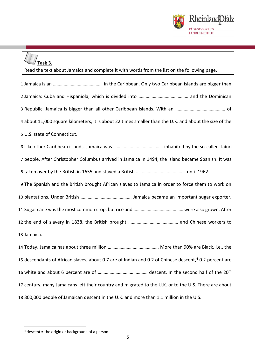

## **Task 3.**

| Read the text about Jamaica and complete it with words from the list on the following page.                        |
|--------------------------------------------------------------------------------------------------------------------|
|                                                                                                                    |
|                                                                                                                    |
|                                                                                                                    |
| 4 about 11,000 square kilometers, it is about 22 times smaller than the U.K. and about the size of the             |
| 5 U.S. state of Connecticut.                                                                                       |
|                                                                                                                    |
| 7 people. After Christopher Columbus arrived in Jamaica in 1494, the island became Spanish. It was                 |
|                                                                                                                    |
| 9 The Spanish and the British brought African slaves to Jamaica in order to force them to work on                  |
|                                                                                                                    |
|                                                                                                                    |
|                                                                                                                    |
| 13 Jamaica.                                                                                                        |
|                                                                                                                    |
| 15 descendants of African slaves, about 0.7 are of Indian and 0.2 of Chinese descent, <sup>4</sup> 0.2 percent are |
|                                                                                                                    |
| 17 century, many Jamaicans left their country and migrated to the U.K. or to the U.S. There are about              |
| 18 800,000 people of Jamaican descent in the U.K. and more than 1.1 million in the U.S.                            |

**.** 

descent = the origin or background of a person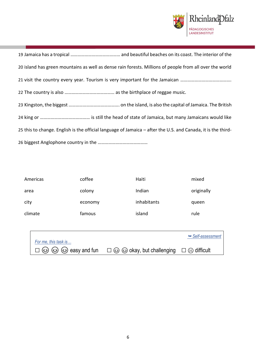

 Jamaica has a tropical …………………………………… and beautiful beaches on its coast. The interior of the island has green mountains as well as dense rain forests. Millions of people from all over the world 21 visit the country every year. Tourism is very important for the Jamaican ………………………………………………………………………………………… The country is also …………………………………… as the birthplace of reggae music. Kingston, the biggest ……………………………………. on the island, is also the capital of Jamaica. The British king or …………………………………… is still the head of state of Jamaica, but many Jamaicans would like this to change. English is the official language of Jamaica – after the U.S. and Canada, it is the third-biggest Anglophone country in the ……………………………………

| Americas | coffee  | Haiti       | mixed      |
|----------|---------|-------------|------------|
| area     | colony  | Indian      | originally |
| city     | economy | inhabitants | queen      |
| climate  | famous  | island      | rule       |

| For me, this task is                           |                                                                             | $ightharpoonup$ Self-assessment |
|------------------------------------------------|-----------------------------------------------------------------------------|---------------------------------|
| $\square$ $\odot$ $\odot$ $\odot$ easy and fun | $\square$ $\odot$ $\odot$ okay, but challenging $\square$ $\odot$ difficult |                                 |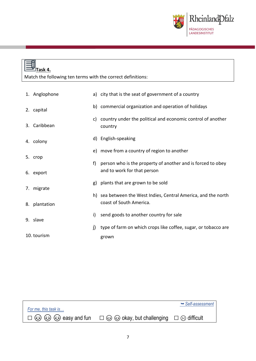

### **Task 4.** Match the following ten terms with the correct definitions: 1. Anglophone 2. capital 3. Caribbean 4. colony 5. crop 6. export 7. migrate 8. plantation 9. slave 10. tourism a) city that is the seat of government of a country b) commercial organization and operation of holidays c) country under the political and economic control of another country d) English-speaking e) move from a country of region to another f) person who is the property of another and is forced to obey and to work for that person g) plants that are grown to be sold h) sea between the West Indies, Central America, and the north coast of South America. i) send goods to another country for sale j) type of farm on which crops like coffee, sugar, or tobacco are grown